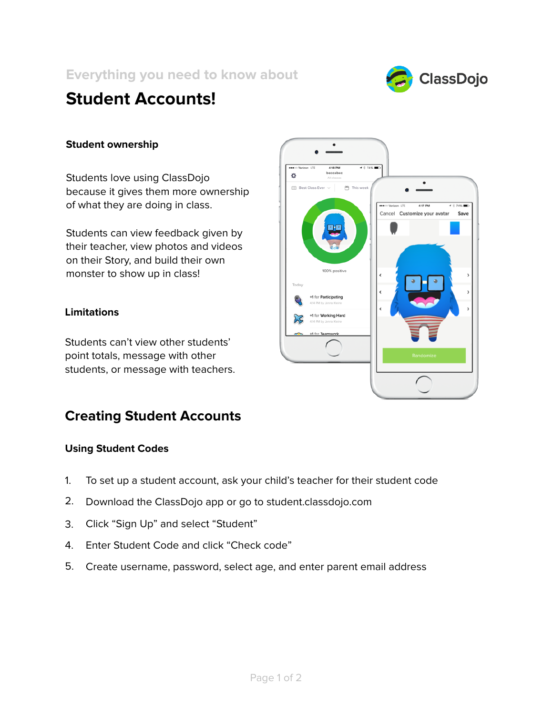**Everything you need to know about**



# **Student Accounts!**

## **Student ownership**

Students love using ClassDojo because it gives them more ownership of what they are doing in class.

Students can view feedback given by their teacher, view photos and videos on their Story, and build their own monster to show up in class!

## **Limitations**

Students can't view other students' point totals, message with other students, or message with teachers.

## **Creating Student Accounts**

### **Using Student Codes**

- To set up a student account, ask your child's teacher for their student code 1.
- Download the ClassDojo app or go to student.classdojo.com 2.
- Click "Sign Up" and select "Student" 3.
- Enter Student Code and click "Check code" 4.
- Create username, password, select age, and enter parent email address 5.